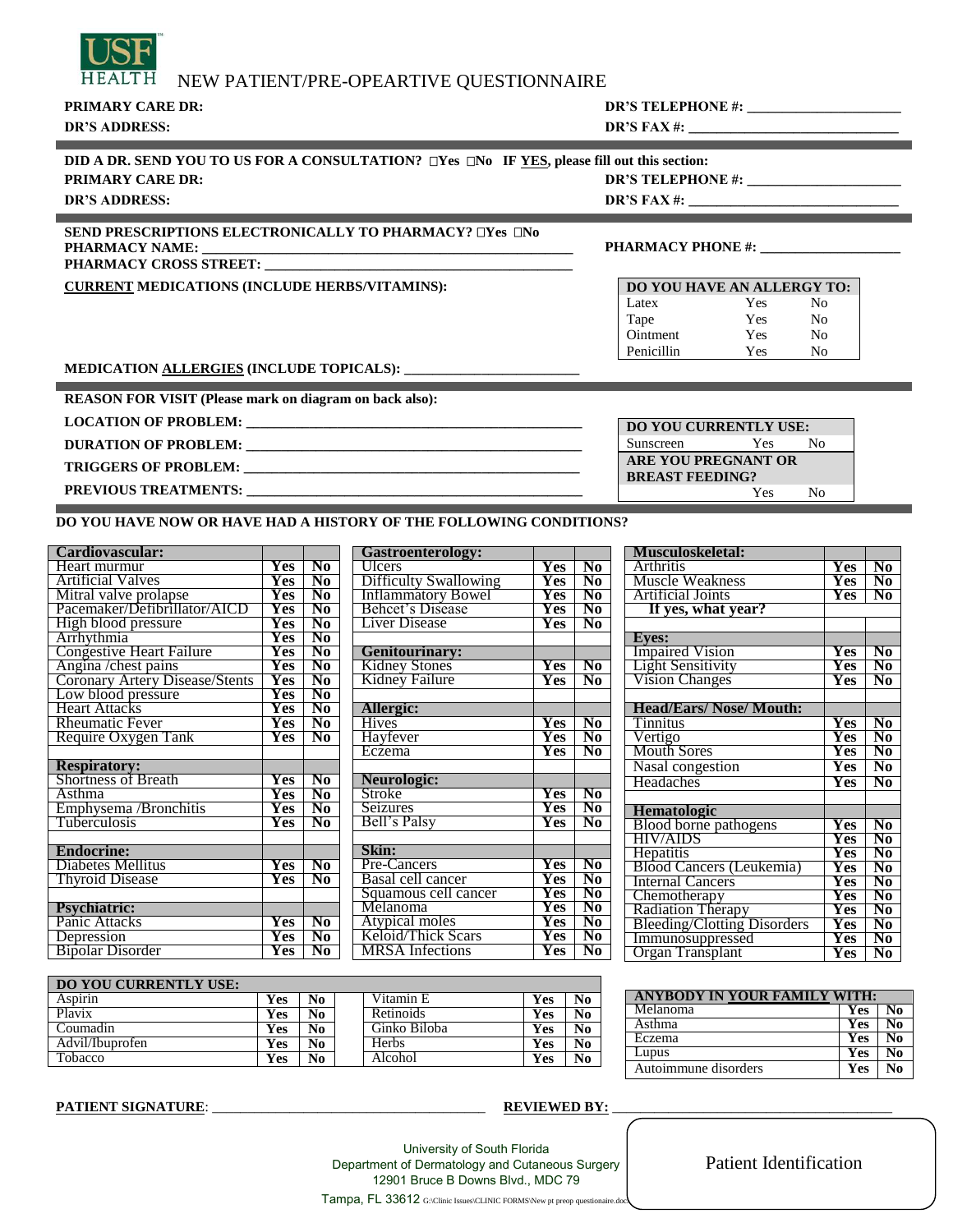| T H | NEW PATIENT/PRE-OPEARTIVE QUESTIONNAIRE |
|-----|-----------------------------------------|
|-----|-----------------------------------------|

**PRIMARY CARE DR: DR'S TELEPHONE #: \_\_\_\_\_\_\_\_\_\_\_\_\_\_\_\_\_\_\_\_\_\_**

# **DR'S ADDRESS: DR'S FAX #: \_\_\_\_\_\_\_\_\_\_\_\_\_\_\_\_\_\_\_\_\_\_\_\_\_\_\_\_\_\_ DID A DR. SEND YOU TO US FOR A CONSULTATION? Yes No IF YES, please fill out this section: PRIMARY CARE DR: DR'S TELEPHONE #: \_\_\_\_\_\_\_\_\_\_\_\_\_\_\_\_\_\_\_\_\_\_ DR'S ADDRESS: DR'S FAX #: \_\_\_\_\_\_\_\_\_\_\_\_\_\_\_\_\_\_\_\_\_\_\_\_\_\_\_\_\_\_** and the control of the control of the control of the control of the control of the control of the control of the

#### **SEND PRESCRIPTIONS ELECTRONICALLY TO PHARMACY? Yes No PHARMACY NAME: \_\_\_\_\_\_\_\_\_\_\_\_\_\_\_\_\_\_\_\_\_\_\_\_\_\_\_\_\_\_\_\_\_\_\_\_\_\_\_\_\_\_\_\_\_\_\_\_\_\_\_\_\_ PHARMACY PHONE #: \_\_\_\_\_\_\_\_\_\_\_\_\_\_\_\_\_\_\_\_**

**PHARMACY CROSS STREET: \_\_\_\_\_\_\_\_\_\_\_\_\_\_\_\_\_\_\_\_\_\_\_\_\_\_\_\_\_\_\_\_\_\_\_\_\_\_\_\_\_\_\_\_**

**CURRENT MEDICATIONS (INCLUDE HERBS/VITAMINS):** 

| <b>DO YOU HAVE AN ALLERGY TO:</b> |     |    |  |  |  |
|-----------------------------------|-----|----|--|--|--|
| Latex                             | Yes | Nο |  |  |  |
| Tape                              | Yes | Nο |  |  |  |
| Ointment                          | Yes | Nο |  |  |  |
| Penicillin                        | Yes | Nο |  |  |  |

**DO YOU CURRENTLY USE:** Sunscreen Yes No **ARE YOU PREGNANT OR BREAST FEEDING?**

### **MEDICATION ALLERGIES (INCLUDE TOPICALS): \_\_\_\_\_\_\_\_\_\_\_\_\_\_\_\_\_\_\_\_\_\_\_\_\_**

**REASON FOR VISIT (Please mark on diagram on back also):**

**LOCATION OF PROBLEM: \_\_\_\_\_\_\_\_\_\_\_\_\_\_\_\_\_\_\_\_\_\_\_\_\_\_\_\_\_\_\_\_\_\_\_\_\_\_\_\_\_\_\_\_\_\_\_\_**

**DURATION OF PROBLEM: \_\_\_\_\_\_\_\_\_\_\_\_\_\_\_\_\_\_\_\_\_\_\_\_\_\_\_\_\_\_\_\_\_\_\_\_\_\_\_\_\_\_\_\_\_\_\_\_**

**TRIGGERS OF PROBLEM: \_\_\_\_\_\_\_\_\_\_\_\_\_\_\_\_\_\_\_\_\_\_\_\_\_\_\_\_\_\_\_\_\_\_\_\_\_\_\_\_\_\_\_\_\_\_\_\_**

**PREVIOUS TREATMENTS: \_\_\_\_\_\_\_\_\_\_\_\_\_\_\_\_\_\_\_\_\_\_\_\_\_\_\_\_\_\_\_\_\_\_\_\_\_\_\_\_\_\_\_\_\_\_\_\_**

## **DO YOU HAVE NOW OR HAVE HAD A HISTORY OF THE FOLLOWING CONDITIONS?**

| Cardiovascular:                       |            |                        |
|---------------------------------------|------------|------------------------|
| Heart murmur                          | Yes        | N0                     |
| Artificial Valves                     | Yes        | $\overline{\text{No}}$ |
| Mitral valve prolapse                 | Yes        | No                     |
| Pacemaker/Defibrillator/AICD          | Yes        | No                     |
| High blood pressure                   | Yes        | N0                     |
| Arrhythmia                            | Yes        | $\overline{\text{No}}$ |
| Congestive Heart Failure              | Yes        | $\overline{\text{No}}$ |
| Angina / chest pains                  | Yes        | No                     |
| <b>Coronary Artery Disease/Stents</b> | Yes        | $\overline{\text{No}}$ |
| Low blood pressure                    | Yes        | No                     |
| Heart Attacks                         | Yes        | No                     |
| Rheumatic Fever                       | Yes        | No                     |
| Require Oxygen Tank                   | <b>Yes</b> | N <sub>0</sub>         |
|                                       |            |                        |
| <b>Respiratory:</b>                   |            |                        |
| <b>Shortness of Breath</b>            | Yes        | N0                     |
| Asthma                                | Yes        | No                     |
| Emphysema / Bronchitis                | Yes        | No                     |
| Tuberculosis                          | Yes        | No                     |
|                                       |            |                        |
| <b>Endocrine:</b>                     |            |                        |
| <b>Diabetes Mellitus</b>              | Yes        | No                     |
| <b>Thyroid Disease</b>                | Yes        | No                     |
|                                       |            |                        |
| <b>Psychiatric:</b>                   |            |                        |
| Panic Attacks                         | Yes        | $\overline{\text{No}}$ |
| Depression                            | Yes        | No                     |
| Bipolar Disorder                      | Yes        | No                     |

| <b>Gastroenterology:</b>  |     |                        |
|---------------------------|-----|------------------------|
| Ulcers                    | Yes | No                     |
| Difficulty Swallowing     | Yes | N0                     |
| <b>Inflammatory Bowel</b> | Yes | No                     |
| <b>Behcet's Disease</b>   | Yes | No                     |
| Liver Disease             | Yes | No                     |
|                           |     |                        |
| <b>Genitourinary:</b>     |     |                        |
| <b>Kidney Stones</b>      | Yes | No                     |
| Kidney Failure            | Yes | No                     |
|                           |     |                        |
| Allergic:                 |     |                        |
| <b>Hives</b>              | Yes | No                     |
| Hayfever                  | Yes | N0                     |
| Eczema                    | Yes | No                     |
|                           |     |                        |
| Neurologic:               |     |                        |
| Stroke                    | Yes | Nō                     |
| Seizures                  | Yes | No                     |
| Bell's Palsy              | Yes | No                     |
|                           |     |                        |
| Skin:                     |     |                        |
| Pre-Cancers               | Yes | $\overline{\text{No}}$ |
| Basal cell cancer         | Yes | $\overline{\text{No}}$ |
| Squamous cell cancer      | Yes | No                     |
| Melanoma                  | Yes | N0                     |
| Atypical moles            | Yes | No                     |
| Keloid/Thick Scars        | Yes | No                     |
| <b>MRSA</b> Infections    | Yes | $\overline{N_0}$       |

| <b>Musculoskeletal:</b>            |                |                        |
|------------------------------------|----------------|------------------------|
| Arthritis                          | Yes            | No                     |
| Muscle Weakness                    | Yes            | No                     |
| Artificial Joints                  | Yes            | No                     |
| If yes, what year?                 |                |                        |
|                                    |                |                        |
| <b>Eves:</b>                       |                |                        |
| <b>Impaired Vision</b>             | $\mathbf{Yes}$ | No                     |
| <b>Light Sensitivity</b>           | Yes            | No                     |
| Vision Changes                     | Yes            | No                     |
|                                    |                |                        |
| <b>Head/Ears/ Nose/ Mouth:</b>     |                |                        |
| Tinnitus                           | Yes            | No                     |
| Vertigo                            | Yes            | No                     |
| <b>Mouth Sores</b>                 | Yes            | $\overline{\text{No}}$ |
| Nasal congestion                   | Yes            | N <sub>0</sub>         |
| Headaches                          | Yes            | No                     |
|                                    |                |                        |
| <b>Hematologic</b>                 |                |                        |
| <b>Blood borne pathogens</b>       | Yes            | $\overline{\text{No}}$ |
| HIV/AIDS                           | Yes            | $\bf N_0$              |
| Hepatitis                          | Yes            | No                     |
| <b>Blood Cancers (Leukemia)</b>    | Yes            | No                     |
| <b>Internal Cancers</b>            | Yes            | No                     |
| Chemotherapy                       | Yes            | No                     |
| <b>Radiation Therapy</b>           | Yes            | No                     |
| <b>Bleeding/Clotting Disorders</b> | Yes            | No                     |
| Immunosuppressed                   | <b>Yes</b>     | Ñо                     |
| Organ Transplant                   | Yes            | No                     |

Yes No

| <b>DO YOU CURRENTLY USE:</b> |            |    |              |            |    |
|------------------------------|------------|----|--------------|------------|----|
| Aspirin                      | Yes        | No | Vitamin E    | Yes        | No |
| Plavix                       | Yes        | No | Retinoids    | Yes        | No |
| Coumadin                     | Yes        | No | Ginko Biloba | <b>Yes</b> | No |
| Advil/Ibuprofen              | <b>Yes</b> | No | <b>Herbs</b> | <b>Yes</b> | No |
| Tobacco                      | Yes        | No | Alcohol      | <b>Yes</b> | No |

| ANYBODY IN YOUR FAMILY WITH: |            |    |  |  |
|------------------------------|------------|----|--|--|
| Melanoma                     | Yes        |    |  |  |
| Asthma                       | <b>Yes</b> | N٥ |  |  |
| Eczema                       | Yes        | No |  |  |
| Lupus                        | Yes        |    |  |  |
| Autoimmune disorders         | Yes        |    |  |  |

**PATIENT SIGNATURE**: \_\_\_\_\_\_\_\_\_\_\_\_\_\_\_\_\_\_\_\_\_\_\_\_\_\_\_\_\_\_\_\_\_\_\_\_\_\_\_ **REVIEWED BY:** \_\_\_\_\_\_\_\_\_\_\_\_\_\_\_\_\_\_\_\_\_\_\_\_\_\_\_\_\_\_\_\_\_\_\_\_\_\_\_\_

University of South Florida Department of Dermatology and Cutaneous Surgery 12901 Bruce B Downs Blvd., MDC 79

Patient Identification

Tampa, FL 33612 G:\Clinic Issues\CLINIC FORMS\New pt preop questionaire.doc